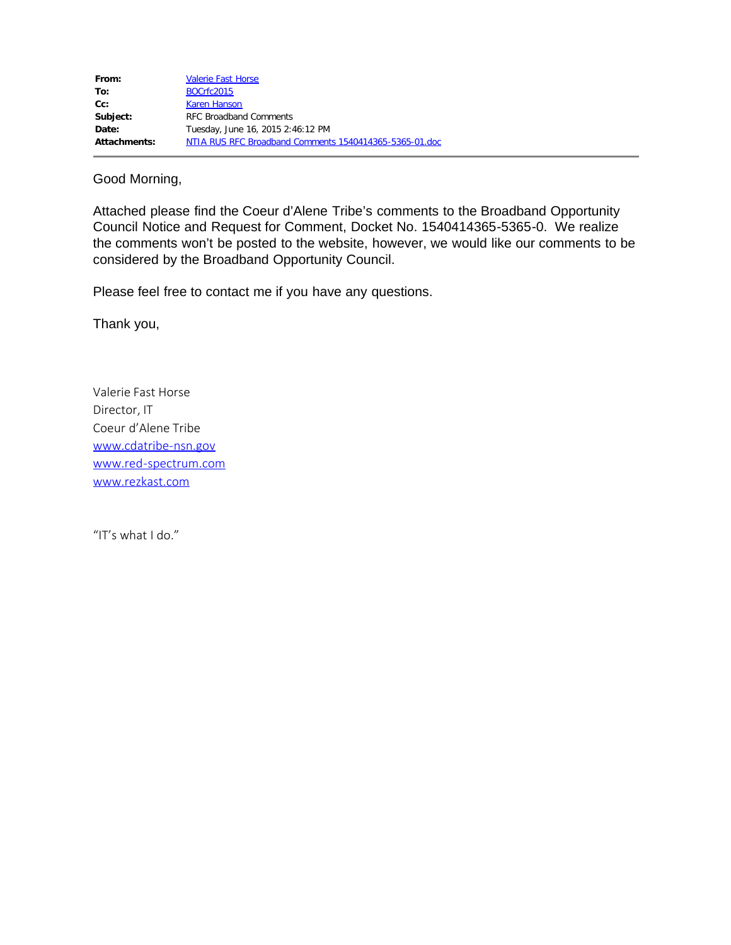| From:        | <b>Valerie Fast Horse</b>                              |
|--------------|--------------------------------------------------------|
| To:          | BOCrfc2015                                             |
| $Cc$ :       | <b>Karen Hanson</b>                                    |
| Subject:     | <b>RFC Broadband Comments</b>                          |
| Date:        | Tuesday, June 16, 2015 2:46:12 PM                      |
| Attachments: | NTIA RUS RFC Broadband Comments 1540414365-5365-01.doc |

Good Morning,

Attached please find the Coeur d'Alene Tribe's comments to the Broadband Opportunity Council Notice and Request for Comment, Docket No. 1540414365-5365-0. We realize the comments won't be posted to the website, however, we would like our comments to be considered by the Broadband Opportunity Council.

Please feel free to contact me if you have any questions.

Thank you,

Valerie Fast Horse Director, IT Coeur d'Alene Tribe [www.cdatribe-nsn.gov](http://www.cdatribe-nsn.gov/) [www.red-spectrum.com](http://www.red-spectrum.com/) [www.rezkast.com](http://www.rezkast.com/)

"IT's what I do."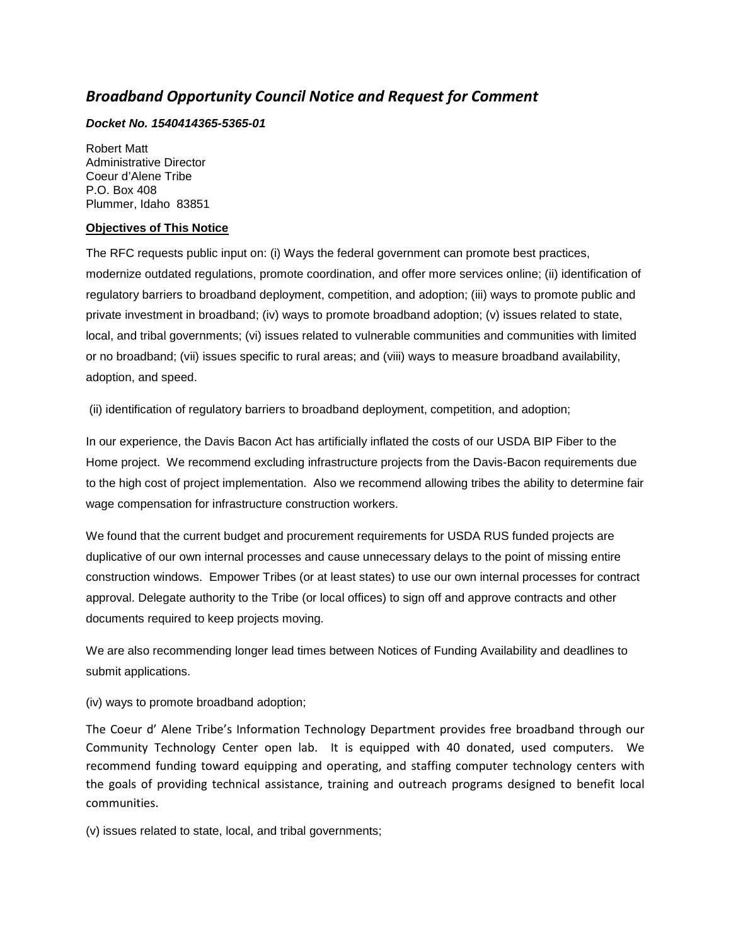## *Broadband Opportunity Council Notice and Request for Comment*

## *Docket No. 1540414365-5365-01*

Robert Matt Administrative Director Coeur d'Alene Tribe P.O. Box 408 Plummer, Idaho 83851

## **Objectives of This Notice**

The RFC requests public input on: (i) Ways the federal government can promote best practices, modernize outdated regulations, promote coordination, and offer more services online; (ii) identification of regulatory barriers to broadband deployment, competition, and adoption; (iii) ways to promote public and private investment in broadband; (iv) ways to promote broadband adoption; (v) issues related to state, local, and tribal governments; (vi) issues related to vulnerable communities and communities with limited or no broadband; (vii) issues specific to rural areas; and (viii) ways to measure broadband availability, adoption, and speed.

(ii) identification of regulatory barriers to broadband deployment, competition, and adoption;

In our experience, the Davis Bacon Act has artificially inflated the costs of our USDA BIP Fiber to the Home project. We recommend excluding infrastructure projects from the Davis-Bacon requirements due to the high cost of project implementation. Also we recommend allowing tribes the ability to determine fair wage compensation for infrastructure construction workers.

We found that the current budget and procurement requirements for USDA RUS funded projects are duplicative of our own internal processes and cause unnecessary delays to the point of missing entire construction windows. Empower Tribes (or at least states) to use our own internal processes for contract approval. Delegate authority to the Tribe (or local offices) to sign off and approve contracts and other documents required to keep projects moving.

We are also recommending longer lead times between Notices of Funding Availability and deadlines to submit applications.

## (iv) ways to promote broadband adoption;

The Coeur d' Alene Tribe's Information Technology Department provides free broadband through our Community Technology Center open lab. It is equipped with 40 donated, used computers. We recommend funding toward equipping and operating, and staffing computer technology centers with the goals of providing technical assistance, training and outreach programs designed to benefit local communities.

(v) issues related to state, local, and tribal governments;